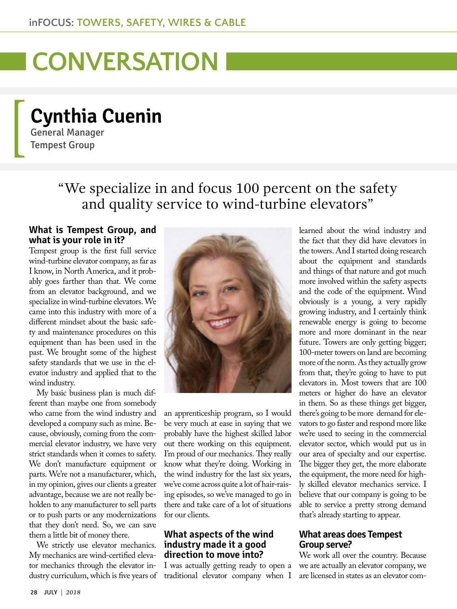# **I CONVERSATION**

## **Cynthia Cuenin**

General Manager Tempest Group

### "We specialize in and focus 100 percent on the safety and quality service to wind-turbine elevators"

#### **What is Tempest Group, and what is your role in it?**

Tempest group is the first full service wind-turbine elevator company, as far as I know, in North America, and it probably goes farther than that. We come from an elevator background, and we specialize in wind-turbine elevators. We came into this industry with more of a different mindset about the basic safety and maintenance procedures on this equipment than has been used in the past. We brought some of the highest safety standards that we use in the elevator industry and applied that to the wind industry.

My basic business plan is much different than maybe one from somebody who came from the wind industry and developed a company such as mine. Because, obviously, coming from the commercial elevator industry, we have very strict standards when it comes to safety. We don't manufacture equipment or parts. We're not a manufacturer, which, in my opinion, gives our clients a greater advantage, because we are not really beholden to any manufacturer to sell parts or to push parts or any modernizations that they don't need. So, we can save them a little bit of money there.

We strictly use elevator mechanics. My mechanics are wind-certified elevator mechanics through the elevator industry curriculum, which is five years of



an apprenticeship program, so I would be very much at ease in saying that we probably have the highest skilled labor out there working on this equipment. I'm proud of our mechanics. They really know what they're doing. Working in the wind industry for the last six years, we've come across quite a lot of hair-raising episodes, so we've managed to go in there and take care of a lot of situations for our clients.

#### **What aspects of the wind industry made it a good direction to move into?**

I was actually getting ready to open a traditional elevator company when I learned about the wind industry and the fact that they did have elevators in the towers. And I started doing research about the equipment and standards and things of that nature and got much more involved within the safety aspects and the code of the equipment. Wind obviously is a young, a very rapidly growing industry, and I certainly think renewable energy is going to become more and more dominant in the near future. Towers are only getting bigger; 100-meter towers on land are becoming more of the norm. As they actually grow from that, they're going to have to put elevators in. Most towers that are 100 meters or higher do have an elevator in them. So as these things get bigger, there's going to be more demand for elevators to go faster and respond more like we're used to seeing in the commercial elevator sector, which would put us in our area of specialty and our expertise. The bigger they get, the more elaborate the equipment, the more need for highly skilled elevator mechanics service. I believe that our company is going to be able to service a pretty strong demand that's already starting to appear.

#### **What areas does Tempest Group serve?**

We work all over the country. Because we are actually an elevator company, we are licensed in states as an elevator com